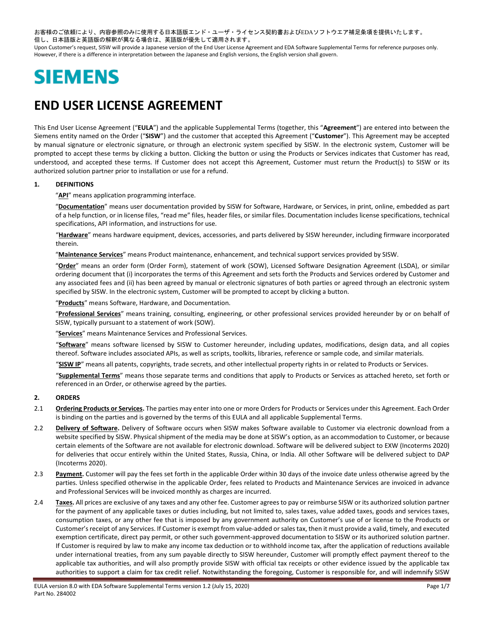お客様のご依頼により、内容参照のみに使用する日本語版エンド・ユーザ・ライセンス契約書およびEDAソフトウエア補足条項を提供いたします。 但し、日本語版と英語版の解釈が異なる場合は、英語版が優先して適用されます。

Upon Customer's request, SISW will provide a Japanese version of the End User License Agreement and EDA Software Supplemental Terms for reference purposes only. However, if there is a difference in interpretation between the Japanese and English versions, the English version shall govern.

# **SIEMENS**

## **END USER LICENSE AGREEMENT**

This End User License Agreement ("**EULA**") and the applicable Supplemental Terms (together, this "**Agreement**") are entered into between the Siemens entity named on the Order ("**SISW**") and the customer that accepted this Agreement ("**Customer**"). This Agreement may be accepted by manual signature or electronic signature, or through an electronic system specified by SISW. In the electronic system, Customer will be prompted to accept these terms by clicking a button. Clicking the button or using the Products or Services indicates that Customer has read, understood, and accepted these terms. If Customer does not accept this Agreement, Customer must return the Product(s) to SISW or its authorized solution partner prior to installation or use for a refund.

#### **1. DEFINITIONS**

"**API**" means application programming interface.

"**Documentation**" means user documentation provided by SISW for Software, Hardware, or Services, in print, online, embedded as part of a help function, or in license files, "read me" files, header files, or similar files. Documentation includes license specifications, technical specifications, API information, and instructions for use.

"**Hardware**" means hardware equipment, devices, accessories, and parts delivered by SISW hereunder, including firmware incorporated therein.

"**Maintenance Services**" means Product maintenance, enhancement, and technical support services provided by SISW.

"**Order**" means an order form (Order Form), statement of work (SOW), Licensed Software Designation Agreement (LSDA), or similar ordering document that (i) incorporates the terms of this Agreement and sets forth the Products and Services ordered by Customer and any associated fees and (ii) has been agreed by manual or electronic signatures of both parties or agreed through an electronic system specified by SISW. In the electronic system, Customer will be prompted to accept by clicking a button.

"**Products**" means Software, Hardware, and Documentation.

"**Professional Services**" means training, consulting, engineering, or other professional services provided hereunder by or on behalf of SISW, typically pursuant to a statement of work (SOW).

"**Services**" means Maintenance Services and Professional Services.

"**Software**" means software licensed by SISW to Customer hereunder, including updates, modifications, design data, and all copies thereof. Software includes associated APIs, as well as scripts, toolkits, libraries, reference or sample code, and similar materials.

"**SISW IP**" means all patents, copyrights, trade secrets, and other intellectual property rights in or related to Products or Services.

"**Supplemental Terms**" means those separate terms and conditions that apply to Products or Services as attached hereto, set forth or referenced in an Order, or otherwise agreed by the parties.

#### **2. ORDERS**

- 2.1 **Ordering Products or Services.** The parties may enter into one or more Orders for Products or Services under this Agreement. Each Order is binding on the parties and is governed by the terms of this EULA and all applicable Supplemental Terms.
- 2.2 **Delivery of Software.** Delivery of Software occurs when SISW makes Software available to Customer via electronic download from a website specified by SISW. Physical shipment of the media may be done at SISW's option, as an accommodation to Customer, or because certain elements of the Software are not available for electronic download. Software will be delivered subject to EXW (Incoterms 2020) for deliveries that occur entirely within the United States, Russia, China, or India. All other Software will be delivered subject to DAP (Incoterms 2020).
- <span id="page-0-0"></span>2.3 Payment. Customer will pay the fees set forth in the applicable Order within 30 days of the invoice date unless otherwise agreed by the parties. Unless specified otherwise in the applicable Order, fees related to Products and Maintenance Services are invoiced in advance and Professional Services will be invoiced monthly as charges are incurred.
- <span id="page-0-1"></span>2.4 **Taxes.** All prices are exclusive of any taxes and any other fee. Customer agrees to pay or reimburse SISW or its authorized solution partner for the payment of any applicable taxes or duties including, but not limited to, sales taxes, value added taxes, goods and services taxes, consumption taxes, or any other fee that is imposed by any government authority on Customer's use of or license to the Products or Customer'sreceipt of any Services. If Customer is exempt from value-added or sales tax, then it must provide a valid, timely, and executed exemption certificate, direct pay permit, or other such government-approved documentation to SISW or its authorized solution partner. If Customer is required by law to make any income tax deduction or to withhold income tax, after the application of reductions available under international treaties, from any sum payable directly to SISW hereunder, Customer will promptly effect payment thereof to the applicable tax authorities, and will also promptly provide SISW with official tax receipts or other evidence issued by the applicable tax authorities to support a claim for tax credit relief. Notwithstanding the foregoing, Customer is responsible for, and will indemnify SISW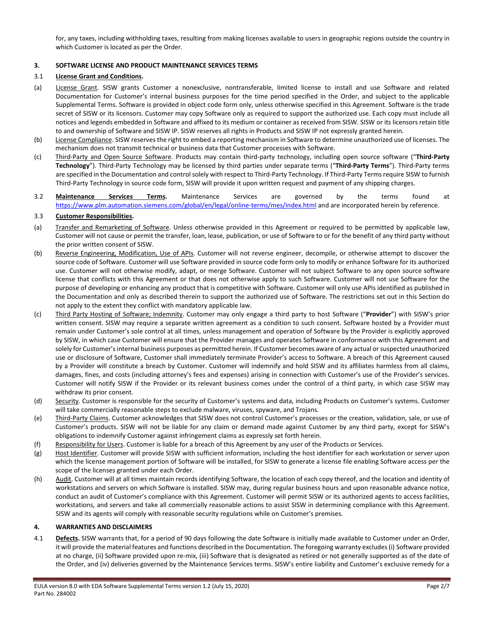for, any taxes, including withholding taxes, resulting from making licenses available to users in geographic regions outside the country in which Customer is located as per the Order.

#### <span id="page-1-0"></span>**3. SOFTWARE LICENSE AND PRODUCT MAINTENANCE SERVICES TERMS**

#### 3.1 **License Grant and Conditions.**

- (a) License Grant. SISW grants Customer a nonexclusive, nontransferable, limited license to install and use Software and related Documentation for Customer's internal business purposes for the time period specified in the Order, and subject to the applicable Supplemental Terms. Software is provided in object code form only, unless otherwise specified in this Agreement. Software is the trade secret of SISW or its licensors. Customer may copy Software only as required to support the authorized use. Each copy must include all notices and legends embedded in Software and affixed to its medium or container as received from SISW. SISW or its licensors retain title to and ownership of Software and SISW IP. SISW reserves all rights in Products and SISW IP not expressly granted herein.
- (b) License Compliance. SISW reserves the right to embed a reporting mechanism in Software to determine unauthorized use of licenses. The mechanism does not transmit technical or business data that Customer processes with Software.
- (c) Third-Party and Open Source Software. Products may contain third-party technology, including open source software ("**Third-Party Technology**"). Third-Party Technology may be licensed by third parties under separate terms ("**Third-Party Terms**"). Third-Party terms are specified in the Documentation and control solely with respect to Third-Party Technology. If Third-Party Terms require SISW to furnish Third-Party Technology in source code form, SISW will provide it upon written request and payment of any shipping charges.
- 3.2 **Maintenance Services Terms.** Maintenance Services are governed by the terms found at <https://www.plm.automation.siemens.com/global/en/legal/online-terms/mes/index.html></u> and are incorporated herein by reference.

#### 3.3 **Customer Responsibilities.**

- (a) Transfer and Remarketing of Software. Unless otherwise provided in this Agreement or required to be permitted by applicable law, Customer will not cause or permit the transfer, loan, lease, publication, or use of Software to or for the benefit of any third party without the prior written consent of SISW.
- (b) Reverse Engineering, Modification, Use of APIs. Customer will not reverse engineer, decompile, or otherwise attempt to discover the source code of Software. Customer will use Software provided in source code form only to modify or enhance Software for its authorized use. Customer will not otherwise modify, adapt, or merge Software. Customer will not subject Software to any open source software license that conflicts with this Agreement or that does not otherwise apply to such Software. Customer will not use Software for the purpose of developing or enhancing any product that is competitive with Software. Customer will only use APIs identified as published in the Documentation and only as described therein to support the authorized use of Software. The restrictions set out in this Section do not apply to the extent they conflict with mandatory applicable law.
- (c) Third Party Hosting of Software; Indemnity. Customer may only engage a third party to host Software ("**Provider**") with SISW's prior written consent. SISW may require a separate written agreement as a condition to such consent. Software hosted by a Provider must remain under Customer's sole control at all times, unless management and operation of Software by the Provider is explicitly approved by SISW, in which case Customer will ensure that the Provider manages and operates Software in conformance with this Agreement and solely for Customer'sinternal business purposes as permitted herein. If Customer becomes aware of any actual or suspected unauthorized use or disclosure of Software, Customer shall immediately terminate Provider's access to Software. A breach of this Agreement caused by a Provider will constitute a breach by Customer. Customer will indemnify and hold SISW and its affiliates harmless from all claims, damages, fines, and costs (including attorney's fees and expenses) arising in connection with Customer's use of the Provider's services. Customer will notify SISW if the Provider or its relevant business comes under the control of a third party, in which case SISW may withdraw its prior consent.
- (d) Security. Customer is responsible for the security of Customer's systems and data, including Products on Customer's systems. Customer will take commercially reasonable steps to exclude malware, viruses, spyware, and Trojans.
- (e) Third-Party Claims. Customer acknowledges that SISW does not control Customer's processes or the creation, validation, sale, or use of Customer's products. SISW will not be liable for any claim or demand made against Customer by any third party, except for SISW's obligations to indemnify Customer against infringement claims as expressly set forth herein.
- (f) Responsibility for Users. Customer is liable for a breach of this Agreement by any user of the Products or Services.
- (g) Host Identifier. Customer will provide SISW with sufficient information, including the host identifier for each workstation or server upon which the license management portion of Software will be installed, for SISW to generate a license file enabling Software access per the scope of the licenses granted under each Order.
- (h) Audit. Customer will at all times maintain records identifying Software, the location of each copy thereof, and the location and identity of workstations and servers on which Software is installed. SISW may, during regular business hours and upon reasonable advance notice, conduct an audit of Customer's compliance with this Agreement. Customer will permit SISW or its authorized agents to access facilities, workstations, and servers and take all commercially reasonable actions to assist SISW in determining compliance with this Agreement. SISW and its agents will comply with reasonable security regulations while on Customer's premises.

#### **4. WARRANTIES AND DISCLAIMERS**

4.1 **Defects.** SISW warrants that, for a period of 90 days following the date Software is initially made available to Customer under an Order, it will provide the material features and functions described in the Documentation. The foregoing warranty excludes (i) Software provided at no charge, (ii) Software provided upon re-mix, (iii) Software that is designated as retired or not generally supported as of the date of the Order, and (iv) deliveries governed by the Maintenance Services terms. SISW's entire liability and Customer's exclusive remedy for a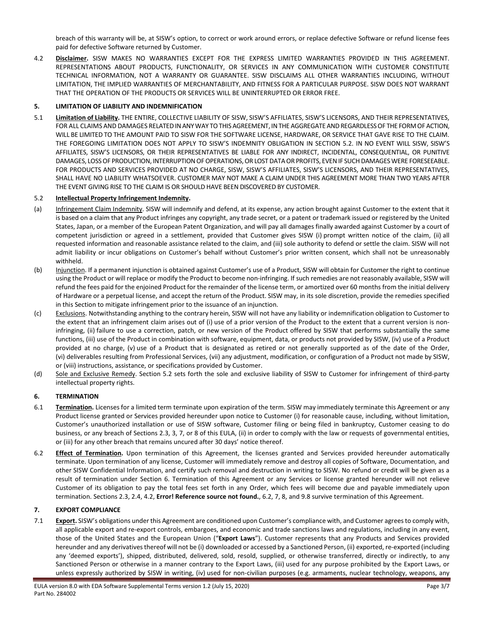breach of this warranty will be, at SISW's option, to correct or work around errors, or replace defective Software or refund license fees paid for defective Software returned by Customer.

<span id="page-2-3"></span>4.2 **Disclaimer.** SISW MAKES NO WARRANTIES EXCEPT FOR THE EXPRESS LIMITED WARRANTIES PROVIDED IN THIS AGREEMENT. REPRESENTATIONS ABOUT PRODUCTS, FUNCTIONALITY, OR SERVICES IN ANY COMMUNICATION WITH CUSTOMER CONSTITUTE TECHNICAL INFORMATION, NOT A WARRANTY OR GUARANTEE. SISW DISCLAIMS ALL OTHER WARRANTIES INCLUDING, WITHOUT LIMITATION, THE IMPLIED WARRANTIES OF MERCHANTABILITY, AND FITNESS FOR A PARTICULAR PURPOSE. SISW DOES NOT WARRANT THAT THE OPERATION OF THE PRODUCTS OR SERVICES WILL BE UNINTERRUPTED OR ERROR FREE.

#### **5. LIMITATION OF LIABILITY AND INDEMNIFICATION**

5.1 **Limitation of Liability.** THE ENTIRE, COLLECTIVE LIABILITY OF SISW, SISW'S AFFILIATES, SISW'S LICENSORS, AND THEIR REPRESENTATIVES, FOR ALL CLAIMS AND DAMAGES RELATED IN ANY WAY TO THIS AGREEMENT, IN THE AGGREGATE AND REGARDLESS OF THE FORM OF ACTION, WILL BE LIMITED TO THE AMOUNT PAID TO SISW FOR THE SOFTWARE LICENSE, HARDWARE, OR SERVICE THAT GAVE RISE TO THE CLAIM. THE FOREGOING LIMITATION DOES NOT APPLY TO SISW'S INDEMNITY OBLIGATION IN SECTION [5.2.](#page-2-0) IN NO EVENT WILL SISW, SISW'S AFFILIATES, SISW'S LICENSORS, OR THEIR REPRESENTATIVES BE LIABLE FOR ANY INDIRECT, INCIDENTAL, CONSEQUENTIAL, OR PUNITIVE DAMAGES, LOSS OF PRODUCTION, INTERRUPTION OF OPERATIONS, OR LOST DATA OR PROFITS, EVEN IF SUCH DAMAGES WERE FORESEEABLE. FOR PRODUCTS AND SERVICES PROVIDED AT NO CHARGE, SISW, SISW'S AFFILIATES, SISW'S LICENSORS, AND THEIR REPRESENTATIVES, SHALL HAVE NO LIABILITY WHATSOEVER. CUSTOMER MAY NOT MAKE A CLAIM UNDER THIS AGREEMENT MORE THAN TWO YEARS AFTER THE EVENT GIVING RISE TO THE CLAIM IS OR SHOULD HAVE BEEN DISCOVERED BY CUSTOMER.

#### <span id="page-2-0"></span>5.2 **Intellectual Property Infringement Indemnity.**

- (a) Infringement Claim Indemnity. SISW will indemnify and defend, at its expense, any action brought against Customer to the extent that it is based on a claim that any Product infringes any copyright, any trade secret, or a patent or trademark issued or registered by the United States, Japan, or a member of the European Patent Organization, and will pay all damages finally awarded against Customer by a court of competent jurisdiction or agreed in a settlement, provided that Customer gives SISW (i) prompt written notice of the claim, (ii) all requested information and reasonable assistance related to the claim, and (iii) sole authority to defend or settle the claim. SISW will not admit liability or incur obligations on Customer's behalf without Customer's prior written consent, which shall not be unreasonably withheld.
- (b) Injunction. If a permanent injunction is obtained against Customer's use of a Product, SISW will obtain for Customer the right to continue using the Product or will replace or modify the Product to become non-infringing. If such remedies are not reasonably available, SISW will refund the fees paid for the enjoined Product for the remainder of the license term, or amortized over 60 months from the initial delivery of Hardware or a perpetual license, and accept the return of the Product. SISW may, in its sole discretion, provide the remedies specified in this Section to mitigate infringement prior to the issuance of an injunction.
- (c) Exclusions. Notwithstanding anything to the contrary herein, SISW will not have any liability or indemnification obligation to Customer to the extent that an infringement claim arises out of (i) use of a prior version of the Product to the extent that a current version is noninfringing, (ii) failure to use a correction, patch, or new version of the Product offered by SISW that performs substantially the same functions, (iii) use of the Product in combination with software, equipment, data, or products not provided by SISW, (iv) use of a Product provided at no charge, (v) use of a Product that is designated as retired or not generally supported as of the date of the Order, (vi) deliverables resulting from Professional Services, (vii) any adjustment, modification, or configuration of a Product not made by SISW, or (viii) instructions, assistance, or specifications provided by Customer.
- (d) Sole and Exclusive Remedy. Section [5.2](#page-2-0) sets forth the sole and exclusive liability of SISW to Customer for infringement of third-party intellectual property rights.

#### <span id="page-2-2"></span>**6. TERMINATION**

- 6.1 **Termination.** Licenses for a limited term terminate upon expiration of the term. SISW may immediately terminate this Agreement or any Product license granted or Services provided hereunder upon notice to Customer (i) for reasonable cause, including, without limitation, Customer's unauthorized installation or use of SISW software, Customer filing or being filed in bankruptcy, Customer ceasing to do business, or any breach of Sections [2.3,](#page-0-0) [3,](#page-1-0) [7,](#page-2-1) or [8](#page-3-0) of this EULA, (ii) in order to comply with the law or requests of governmental entities, or (iii) for any other breach that remains uncured after 30 days' notice thereof.
- <span id="page-2-4"></span>6.2 **Effect of Termination.** Upon termination of this Agreement, the licenses granted and Services provided hereunder automatically terminate. Upon termination of any license, Customer will immediately remove and destroy all copies of Software, Documentation, and other SISW Confidential Information, and certify such removal and destruction in writing to SISW. No refund or credit will be given as a result of termination under Section [6.](#page-2-2) Termination of this Agreement or any Services or license granted hereunder will not relieve Customer of its obligation to pay the total fees set forth in any Order, which fees will become due and payable immediately upon termination. Sections [2.3,](#page-0-0) [2.4,](#page-0-1) [4.2,](#page-2-3) **Error! Reference source not found.**, [6.2,](#page-2-4) [7,](#page-2-1) [8,](#page-3-0) and [9.8](#page-4-0) survive termination of this Agreement.

#### <span id="page-2-1"></span>**7. EXPORT COMPLIANCE**

7.1 **Export.** SISW's obligations under this Agreement are conditioned upon Customer's compliance with, and Customer agrees to comply with, all applicable export and re-export controls, embargoes, and economic and trade sanctions laws and regulations, including in any event, those of the United States and the European Union ("**Export Laws**"). Customer represents that any Products and Services provided hereunder and any derivatives thereof will not be (i) downloaded or accessed by a Sanctioned Person, (ii) exported, re-exported (including any 'deemed exports'), shipped, distributed, delivered, sold, resold, supplied, or otherwise transferred, directly or indirectly, to any Sanctioned Person or otherwise in a manner contrary to the Export Laws, (iii) used for any purpose prohibited by the Export Laws, or unless expressly authorized by SISW in writing, (iv) used for non-civilian purposes (e.g. armaments, nuclear technology, weapons, any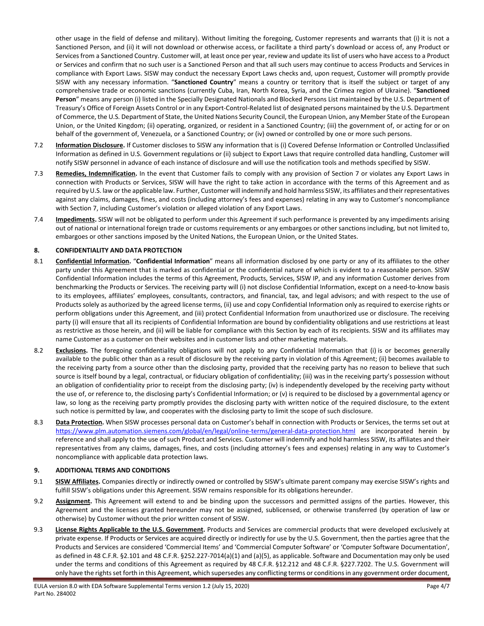other usage in the field of defense and military). Without limiting the foregoing, Customer represents and warrants that (i) it is not a Sanctioned Person, and (ii) it will not download or otherwise access, or facilitate a third party's download or access of, any Product or Services from a Sanctioned Country. Customer will, at least once per year, review and update its list of users who have access to a Product or Services and confirm that no such user is a Sanctioned Person and that all such users may continue to access Products and Services in compliance with Export Laws. SISW may conduct the necessary Export Laws checks and, upon request, Customer will promptly provide SISW with any necessary information. "**Sanctioned Country**" means a country or territory that is itself the subject or target of any comprehensive trade or economic sanctions (currently Cuba, Iran, North Korea, Syria, and the Crimea region of Ukraine). "**Sanctioned Person**" means any person (i) listed in the Specially Designated Nationals and Blocked Persons List maintained by the U.S. Department of Treasury's Office of Foreign Assets Control or in any Export-Control-Related list of designated persons maintained by the U.S. Department of Commerce, the U.S. Department of State, the United Nations Security Council, the European Union, any Member State of the European Union, or the United Kingdom; (ii) operating, organized, or resident in a Sanctioned Country; (iii) the government of, or acting for or on behalf of the government of, Venezuela, or a Sanctioned Country; or (iv) owned or controlled by one or more such persons.

- 7.2 **Information Disclosure.** If Customer discloses to SISW any information that is (i) Covered Defense Information or Controlled Unclassified Information as defined in U.S. Government regulations or (ii) subject to Export Laws that require controlled data handling, Customer will notify SISW personnel in advance of each instance of disclosure and will use the notification tools and methods specified by SISW.
- 7.3 **Remedies, Indemnification.** In the event that Customer fails to comply with any provision of Sectio[n 7](#page-2-1) or violates any Export Laws in connection with Products or Services, SISW will have the right to take action in accordance with the terms of this Agreement and as required by U.S. law or the applicable law. Further, Customer will indemnify and hold harmless SISW, its affiliates and theirrepresentatives against any claims, damages, fines, and costs (including attorney's fees and expenses) relating in any way to Customer's noncompliance with Section [7,](#page-2-1) including Customer's violation or alleged violation of any Export Laws.
- 7.4 **Impediments.** SISW will not be obligated to perform under this Agreement if such performance is prevented by any impediments arising out of national or international foreign trade or customs requirements or any embargoes or other sanctions including, but not limited to, embargoes or other sanctions imposed by the United Nations, the European Union, or the United States.

#### <span id="page-3-0"></span>**8. CONFIDENTIALITY AND DATA PROTECTION**

- 8.1 **Confidential Information.** "**Confidential Information**" means all information disclosed by one party or any of its affiliates to the other party under this Agreement that is marked as confidential or the confidential nature of which is evident to a reasonable person. SISW Confidential Information includes the terms of this Agreement, Products, Services, SISW IP, and any information Customer derives from benchmarking the Products or Services. The receiving party will (i) not disclose Confidential Information, except on a need-to-know basis to its employees, affiliates' employees, consultants, contractors, and financial, tax, and legal advisors; and with respect to the use of Products solely as authorized by the agreed license terms, (ii) use and copy Confidential Information only as required to exercise rights or perform obligations under this Agreement, and (iii) protect Confidential Information from unauthorized use or disclosure. The receiving party (i) will ensure that all its recipients of Confidential Information are bound by confidentiality obligations and use restrictions at least as restrictive as those herein, and (ii) will be liable for compliance with this Section by each of its recipients. SISW and its affiliates may name Customer as a customer on their websites and in customer lists and other marketing materials.
- 8.2 **Exclusions.** The foregoing confidentiality obligations will not apply to any Confidential Information that (i) is or becomes generally available to the public other than as a result of disclosure by the receiving party in violation of this Agreement; (ii) becomes available to the receiving party from a source other than the disclosing party, provided that the receiving party has no reason to believe that such source is itself bound by a legal, contractual, or fiduciary obligation of confidentiality; (iii) was in the receiving party's possession without an obligation of confidentiality prior to receipt from the disclosing party; (iv) is independently developed by the receiving party without the use of, or reference to, the disclosing party's Confidential Information; or (v) is required to be disclosed by a governmental agency or law, so long as the receiving party promptly provides the disclosing party with written notice of the required disclosure, to the extent such notice is permitted by law, and cooperates with the disclosing party to limit the scope of such disclosure.
- 8.3 **Data Protection.** When SISW processes personal data on Customer's behalf in connection with Products or Services, the terms set out at <https://www.plm.automation.siemens.com/global/en/legal/online-terms/general-data-protection.html> are incorporated herein by reference and shall apply to the use of such Product and Services. Customer will indemnify and hold harmless SISW, its affiliates and their representatives from any claims, damages, fines, and costs (including attorney's fees and expenses) relating in any way to Customer's noncompliance with applicable data protection laws.

#### **9. ADDITIONAL TERMS AND CONDITIONS**

- 9.1 **SISW Affiliates.** Companies directly or indirectly owned or controlled by SISW's ultimate parent company may exercise SISW's rights and fulfill SISW's obligations under this Agreement. SISW remains responsible for its obligations hereunder.
- 9.2 **Assignment.** This Agreement will extend to and be binding upon the successors and permitted assigns of the parties. However, this Agreement and the licenses granted hereunder may not be assigned, sublicensed, or otherwise transferred (by operation of law or otherwise) by Customer without the prior written consent of SISW.
- 9.3 **License Rights Applicable to the U.S. Government.** Products and Services are commercial products that were developed exclusively at private expense. If Products or Services are acquired directly or indirectly for use by the U.S. Government, then the parties agree that the Products and Services are considered 'Commercial Items' and 'Commercial Computer Software' or 'Computer Software Documentation', as defined in 48 C.F.R. §2.101 and 48 C.F.R. §252.227-7014(a)(1) and (a)(5), as applicable. Software and Documentation may only be used under the terms and conditions of this Agreement as required by 48 C.F.R. §12.212 and 48 C.F.R. §227.7202. The U.S. Government will only have the rights set forth in this Agreement, which supersedes any conflicting terms or conditions in any government order document,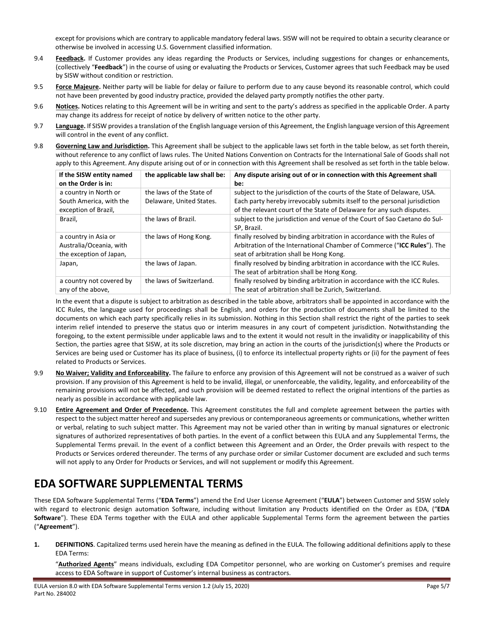except for provisions which are contrary to applicable mandatory federal laws. SISW will not be required to obtain a security clearance or otherwise be involved in accessing U.S. Government classified information.

- 9.4 **Feedback.** If Customer provides any ideas regarding the Products or Services, including suggestions for changes or enhancements, (collectively "**Feedback**") in the course of using or evaluating the Products or Services, Customer agrees that such Feedback may be used by SISW without condition or restriction.
- 9.5 **Force Majeure.** Neither party will be liable for delay or failure to perform due to any cause beyond its reasonable control, which could not have been prevented by good industry practice, provided the delayed party promptly notifies the other party.
- 9.6 **Notices.** Notices relating to this Agreement will be in writing and sent to the party's address as specified in the applicable Order. A party may change its address for receipt of notice by delivery of written notice to the other party.
- 9.7 **Language.** If SISW provides a translation of the English language version of this Agreement, the English language version of this Agreement will control in the event of any conflict.
- <span id="page-4-0"></span>9.8 **Governing Law and Jurisdiction.** This Agreement shall be subject to the applicable laws set forth in the table below, as set forth therein, without reference to any conflict of laws rules. The United Nations Convention on Contracts for the International Sale of Goods shall not apply to this Agreement. Any dispute arising out of or in connection with this Agreement shall be resolved as set forth in the table below.

| If the SISW entity named<br>on the Order is in:                            | the applicable law shall be:                         | Any dispute arising out of or in connection with this Agreement shall<br>be:                                                                                                                                                   |
|----------------------------------------------------------------------------|------------------------------------------------------|--------------------------------------------------------------------------------------------------------------------------------------------------------------------------------------------------------------------------------|
| a country in North or<br>South America, with the<br>exception of Brazil,   | the laws of the State of<br>Delaware, United States. | subject to the jurisdiction of the courts of the State of Delaware, USA.<br>Each party hereby irrevocably submits itself to the personal jurisdiction<br>of the relevant court of the State of Delaware for any such disputes. |
| Brazil,                                                                    | the laws of Brazil.                                  | subject to the jurisdiction and venue of the Court of Sao Caetano do Sul-<br>SP, Brazil.                                                                                                                                       |
| a country in Asia or<br>Australia/Oceania, with<br>the exception of Japan, | the laws of Hong Kong.                               | finally resolved by binding arbitration in accordance with the Rules of<br>Arbitration of the International Chamber of Commerce ("ICC Rules"). The<br>seat of arbitration shall be Hong Kong.                                  |
| Japan,                                                                     | the laws of Japan.                                   | finally resolved by binding arbitration in accordance with the ICC Rules.<br>The seat of arbitration shall be Hong Kong.                                                                                                       |
| a country not covered by<br>any of the above,                              | the laws of Switzerland.                             | finally resolved by binding arbitration in accordance with the ICC Rules.<br>The seat of arbitration shall be Zurich, Switzerland.                                                                                             |

In the event that a dispute is subject to arbitration as described in the table above, arbitrators shall be appointed in accordance with the ICC Rules, the language used for proceedings shall be English, and orders for the production of documents shall be limited to the documents on which each party specifically relies in its submission. Nothing in this Section shall restrict the right of the parties to seek interim relief intended to preserve the status quo or interim measures in any court of competent jurisdiction. Notwithstanding the foregoing, to the extent permissible under applicable laws and to the extent it would not result in the invalidity or inapplicability of this Section, the parties agree that SISW, at its sole discretion, may bring an action in the courts of the jurisdiction(s) where the Products or Services are being used or Customer has its place of business, (i) to enforce its intellectual property rights or (ii) for the payment of fees related to Products or Services.

- 9.9 **No Waiver; Validity and Enforceability.** The failure to enforce any provision of this Agreement will not be construed as a waiver of such provision. If any provision of this Agreement is held to be invalid, illegal, or unenforceable, the validity, legality, and enforceability of the remaining provisions will not be affected, and such provision will be deemed restated to reflect the original intentions of the parties as nearly as possible in accordance with applicable law.
- 9.10 **Entire Agreement and Order of Precedence.** This Agreement constitutes the full and complete agreement between the parties with respect to the subject matter hereof and supersedes any previous or contemporaneous agreements or communications, whether written or verbal, relating to such subject matter. This Agreement may not be varied other than in writing by manual signatures or electronic signatures of authorized representatives of both parties. In the event of a conflict between this EULA and any Supplemental Terms, the Supplemental Terms prevail. In the event of a conflict between this Agreement and an Order, the Order prevails with respect to the Products or Services ordered thereunder. The terms of any purchase order or similar Customer document are excluded and such terms will not apply to any Order for Products or Services, and will not supplement or modify this Agreement.

### **EDA SOFTWARE SUPPLEMENTAL TERMS**

These EDA Software Supplemental Terms ("**EDA Terms**") amend the End User License Agreement ("**EULA**") between Customer and SISW solely with regard to electronic design automation Software, including without limitation any Products identified on the Order as EDA, ("**EDA Software**"). These EDA Terms together with the EULA and other applicable Supplemental Terms form the agreement between the parties ("**Agreement**").

**1. DEFINITIONS**. Capitalized terms used herein have the meaning as defined in the EULA. The following additional definitions apply to these EDA Terms:

"**Authorized Agents**" means individuals, excluding EDA Competitor personnel, who are working on Customer's premises and require access to EDA Software in support of Customer's internal business as contractors.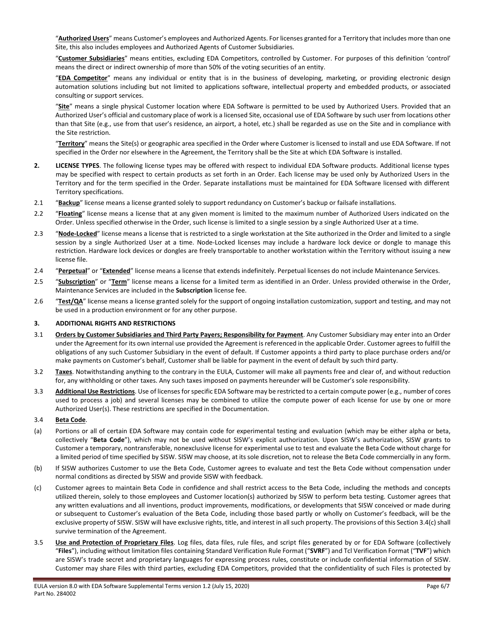"**Authorized Users**" means Customer's employees and Authorized Agents. For licenses granted for a Territory that includes more than one Site, this also includes employees and Authorized Agents of Customer Subsidiaries.

"**Customer Subsidiaries**" means entities, excluding EDA Competitors, controlled by Customer. For purposes of this definition 'control' means the direct or indirect ownership of more than 50% of the voting securities of an entity.

"**EDA Competitor**" means any individual or entity that is in the business of developing, marketing, or providing electronic design automation solutions including but not limited to applications software, intellectual property and embedded products, or associated consulting or support services.

"**Site**" means a single physical Customer location where EDA Software is permitted to be used by Authorized Users. Provided that an Authorized User's official and customary place of work is a licensed Site, occasional use of EDA Software by such user from locations other than that Site (e.g., use from that user's residence, an airport, a hotel, etc.) shall be regarded as use on the Site and in compliance with the Site restriction.

"**Territory**" means the Site(s) or geographic area specified in the Order where Customer is licensed to install and use EDA Software. If not specified in the Order nor elsewhere in the Agreement, the Territory shall be the Site at which EDA Software is installed.

- **2. LICENSE TYPES**. The following license types may be offered with respect to individual EDA Software products. Additional license types may be specified with respect to certain products as set forth in an Order. Each license may be used only by Authorized Users in the Territory and for the term specified in the Order. Separate installations must be maintained for EDA Software licensed with different Territory specifications.
- 2.1 "**Backup**" license means a license granted solely to support redundancy on Customer's backup or failsafe installations.
- 2.2 "**Floating**" license means a license that at any given moment is limited to the maximum number of Authorized Users indicated on the Order. Unless specified otherwise in the Order, such license is limited to a single session by a single Authorized User at a time.
- 2.3 "**Node-Locked**" license means a license that is restricted to a single workstation at the Site authorized in the Order and limited to a single session by a single Authorized User at a time. Node-Locked licenses may include a hardware lock device or dongle to manage this restriction. Hardware lock devices or dongles are freely transportable to another workstation within the Territory without issuing a new license file.
- 2.4 "**Perpetual**" or "**Extended**" license means a license that extends indefinitely. Perpetual licenses do not include Maintenance Services.
- 2.5 "**Subscription**" or "**Term**" license means a license for a limited term as identified in an Order. Unless provided otherwise in the Order, Maintenance Services are included in the **Subscription** license fee.
- 2.6 "**Test/QA**" license means a license granted solely for the support of ongoing installation customization, support and testing, and may not be used in a production environment or for any other purpose.

#### **3. ADDITIONAL RIGHTS AND RESTRICTIONS**

- 3.1 **Orders by Customer Subsidiaries and Third Party Payers; Responsibility for Payment**. Any Customer Subsidiary may enter into an Order under the Agreement for its own internal use provided the Agreement is referenced in the applicable Order. Customer agrees to fulfill the obligations of any such Customer Subsidiary in the event of default. If Customer appoints a third party to place purchase orders and/or make payments on Customer's behalf, Customer shall be liable for payment in the event of default by such third party.
- 3.2 **Taxes**. Notwithstanding anything to the contrary in the EULA, Customer will make all payments free and clear of, and without reduction for, any withholding or other taxes. Any such taxes imposed on payments hereunder will be Customer's sole responsibility.
- 3.3 **Additional Use Restrictions**. Use of licenses for specific EDA Software may be restricted to a certain compute power (e.g., number of cores used to process a job) and several licenses may be combined to utilize the compute power of each license for use by one or more Authorized User(s). These restrictions are specified in the Documentation.

#### <span id="page-5-0"></span>3.4 **Beta Code**.

- (a) Portions or all of certain EDA Software may contain code for experimental testing and evaluation (which may be either alpha or beta, collectively "**Beta Code**"), which may not be used without SISW's explicit authorization. Upon SISW's authorization, SISW grants to Customer a temporary, nontransferable, nonexclusive license for experimental use to test and evaluate the Beta Code without charge for a limited period of time specified by SISW. SISW may choose, at its sole discretion, not to release the Beta Code commercially in any form.
- (b) If SISW authorizes Customer to use the Beta Code, Customer agrees to evaluate and test the Beta Code without compensation under normal conditions as directed by SISW and provide SISW with feedback.
- <span id="page-5-1"></span>(c) Customer agrees to maintain Beta Code in confidence and shall restrict access to the Beta Code, including the methods and concepts utilized therein, solely to those employees and Customer location(s) authorized by SISW to perform beta testing. Customer agrees that any written evaluations and all inventions, product improvements, modifications, or developments that SISW conceived or made during or subsequent to Customer's evaluation of the Beta Code, including those based partly or wholly on Customer's feedback, will be the exclusive property of SISW. SISW will have exclusive rights, title, and interest in all such property. The provisions of this Sectio[n 3.4](#page-5-0)[\(c\)](#page-5-1) shall survive termination of the Agreement.
- 3.5 **Use and Protection of Proprietary Files**. Log files, data files, rule files, and script files generated by or for EDA Software (collectively "**Files**"), including without limitation files containing Standard Verification Rule Format ("**SVRF**") and Tcl Verification Format ("**TVF**") which are SISW's trade secret and proprietary languages for expressing process rules, constitute or include confidential information of SISW. Customer may share Files with third parties, excluding EDA Competitors, provided that the confidentiality of such Files is protected by